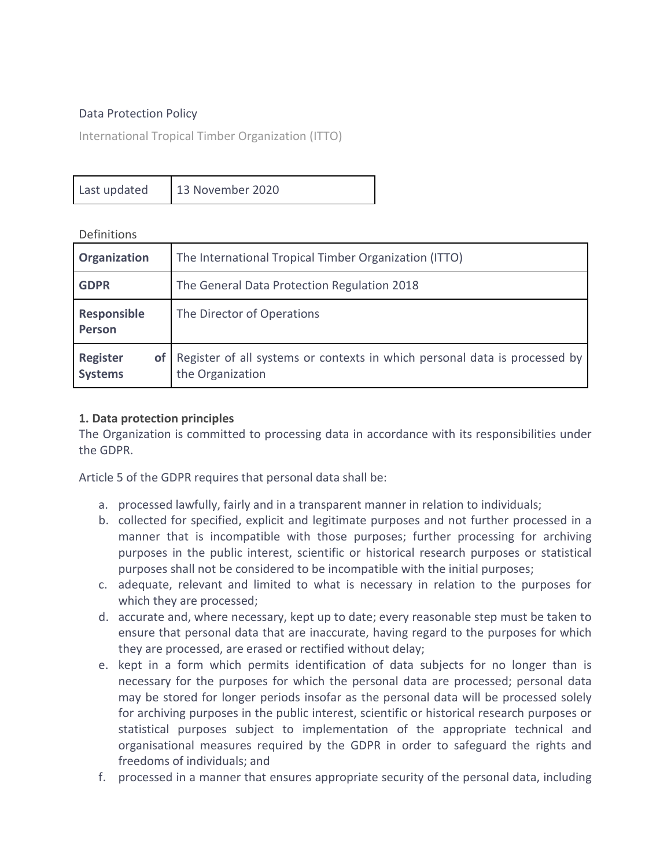#### Data Protection Policy

International Tropical Timber Organization (ITTO)

| Last updated | 13 November 2020 |
|--------------|------------------|
|--------------|------------------|

**Definitions** 

| Organization                            | The International Tropical Timber Organization (ITTO)                                          |
|-----------------------------------------|------------------------------------------------------------------------------------------------|
| <b>GDPR</b>                             | The General Data Protection Regulation 2018                                                    |
| Responsible<br>Person                   | The Director of Operations                                                                     |
| <b>Register</b><br>οf<br><b>Systems</b> | Register of all systems or contexts in which personal data is processed by<br>the Organization |

#### **1. Data protection principles**

The Organization is committed to processing data in accordance with its responsibilities under the GDPR.

Article 5 of the GDPR requires that personal data shall be:

- a. processed lawfully, fairly and in a transparent manner in relation to individuals;
- b. collected for specified, explicit and legitimate purposes and not further processed in a manner that is incompatible with those purposes; further processing for archiving purposes in the public interest, scientific or historical research purposes or statistical purposes shall not be considered to be incompatible with the initial purposes;
- c. adequate, relevant and limited to what is necessary in relation to the purposes for which they are processed;
- d. accurate and, where necessary, kept up to date; every reasonable step must be taken to ensure that personal data that are inaccurate, having regard to the purposes for which they are processed, are erased or rectified without delay;
- e. kept in a form which permits identification of data subjects for no longer than is necessary for the purposes for which the personal data are processed; personal data may be stored for longer periods insofar as the personal data will be processed solely for archiving purposes in the public interest, scientific or historical research purposes or statistical purposes subject to implementation of the appropriate technical and organisational measures required by the GDPR in order to safeguard the rights and freedoms of individuals; and
- f. processed in a manner that ensures appropriate security of the personal data, including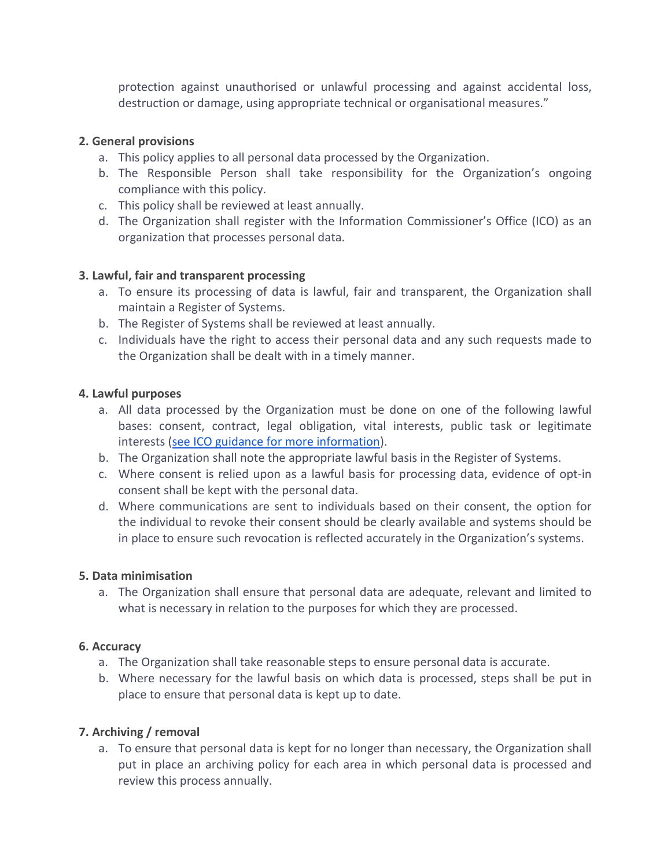protection against unauthorised or unlawful processing and against accidental loss, destruction or damage, using appropriate technical or organisational measures."

### **2. General provisions**

- a. This policy applies to all personal data processed by the Organization.
- b. The Responsible Person shall take responsibility for the Organization's ongoing compliance with this policy.
- c. This policy shall be reviewed at least annually.
- d. The Organization shall register with the Information Commissioner's Office (ICO) as an organization that processes personal data.

### **3. Lawful, fair and transparent processing**

- a. To ensure its processing of data is lawful, fair and transparent, the Organization shall maintain a Register of Systems.
- b. The Register of Systems shall be reviewed at least annually.
- c. Individuals have the right to access their personal data and any such requests made to the Organization shall be dealt with in a timely manner.

### **4. Lawful purposes**

- a. All data processed by the Organization must be done on one of the following lawful bases: consent, contract, legal obligation, vital interests, public task or legitimate interests [\(see ICO guidance for more information\)](https://ico.org.uk/for-organisations/guide-to-the-general-data-protection-regulation-gdpr/lawful-basis-for-processing/).
- b. The Organization shall note the appropriate lawful basis in the Register of Systems.
- c. Where consent is relied upon as a lawful basis for processing data, evidence of opt-in consent shall be kept with the personal data.
- d. Where communications are sent to individuals based on their consent, the option for the individual to revoke their consent should be clearly available and systems should be in place to ensure such revocation is reflected accurately in the Organization's systems.

# **5. Data minimisation**

a. The Organization shall ensure that personal data are adequate, relevant and limited to what is necessary in relation to the purposes for which they are processed.

# **6. Accuracy**

- a. The Organization shall take reasonable steps to ensure personal data is accurate.
- b. Where necessary for the lawful basis on which data is processed, steps shall be put in place to ensure that personal data is kept up to date.

# **7. Archiving / removal**

a. To ensure that personal data is kept for no longer than necessary, the Organization shall put in place an archiving policy for each area in which personal data is processed and review this process annually.